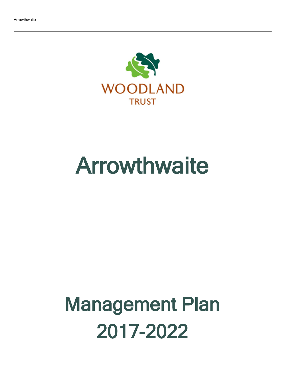

# **Arrowthwaite**

# Management Plan 2017-2022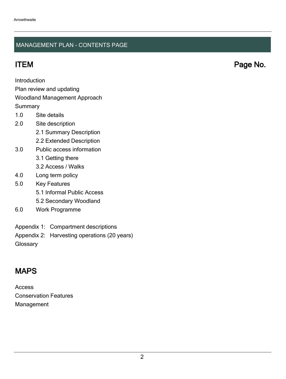## MANAGEMENT PLAN - CONTENTS PAGE

ITEM Page No.

Introduction

Plan review and updating

## Woodland Management Approach

**Summary** 

- 1.0 Site details
- 2.0 Site description
	- 2.1 Summary Description
	- 2.2 Extended Description
- 3.0 Public access information
	- 3.1 Getting there
	- 3.2 Access / Walks
- 4.0 Long term policy
- 5.0 Key Features
	- 5.1 Informal Public Access
	- 5.2 Secondary Woodland
- 6.0 Work Programme
- Appendix 1: Compartment descriptions
- Appendix 2: Harvesting operations (20 years)

**Glossary** 

## MAPS

Access Conservation Features Management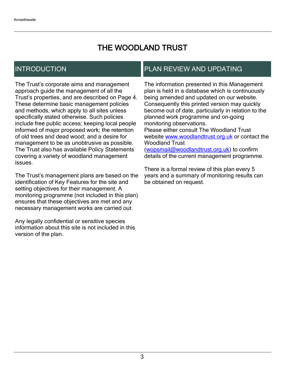## THE WOODLAND TRUST

## INTRODUCTION

The Trust's corporate aims and management approach guide the management of all the Trust's properties, and are described on Page 4. These determine basic management policies and methods, which apply to all sites unless specifically stated otherwise. Such policies include free public access; keeping local people informed of major proposed work; the retention of old trees and dead wood; and a desire for management to be as unobtrusive as possible. The Trust also has available Policy Statements covering a variety of woodland management issues.

The Trust's management plans are based on the identification of Key Features for the site and setting objectives for their management. A monitoring programme (not included in this plan) ensures that these objectives are met and any necessary management works are carried out.

Any legally confidential or sensitive species information about this site is not included in this version of the plan.

## PLAN REVIEW AND UPDATING

The information presented in this Management plan is held in a database which is continuously being amended and updated on our website. Consequently this printed version may quickly become out of date, particularly in relation to the planned work programme and on-going monitoring observations. Please either consult The Woodland Trust website [www.woodlandtrust.org.uk](http://www.woodlandtrust.org.uk/) or contact the Woodland Trust [\(wopsmail@woodlandtrust.org.uk](mailto:wopsmail@woodlandtrust.org.uk)) to confirm

details of the current management programme.

There is a formal review of this plan every 5 years and a summary of monitoring results can be obtained on request.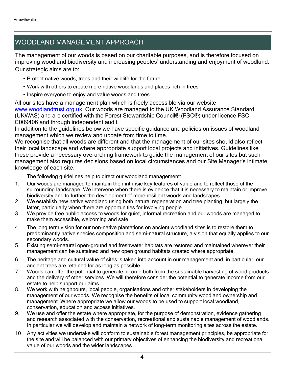## WOODLAND MANAGEMENT APPROACH

The management of our woods is based on our charitable purposes, and is therefore focused on improving woodland biodiversity and increasing peoples' understanding and enjoyment of woodland. Our strategic aims are to:

- Protect native woods, trees and their wildlife for the future
- Work with others to create more native woodlands and places rich in trees
- Inspire everyone to enjoy and value woods and trees

All our sites have a management plan which is freely accessible via our website [www.woodlandtrust.org.uk.](http://www.woodlandtrust.org.uk/) Our woods are managed to the UK Woodland Assurance Standard (UKWAS) and are certified with the Forest Stewardship Council® (FSC®) under licence FSC-C009406 and through independent audit.

In addition to the guidelines below we have specific guidance and policies on issues of woodland management which we review and update from time to time.

We recognise that all woods are different and that the management of our sites should also reflect their local landscape and where appropriate support local projects and initiatives. Guidelines like these provide a necessary overarching framework to guide the management of our sites but such management also requires decisions based on local circumstances and our Site Manager's intimate knowledge of each site.

The following guidelines help to direct our woodland management:

- 1. Our woods are managed to maintain their intrinsic key features of value and to reflect those of the surrounding landscape. We intervene when there is evidence that it is necessary to maintain or improve biodiversity and to further the development of more resilient woods and landscapes.
- 2. We establish new native woodland using both natural regeneration and tree planting, but largely the latter, particularly when there are opportunities for involving people.
- 3. We provide free public access to woods for quiet, informal recreation and our woods are managed to make them accessible, welcoming and safe.
- 4. The long term vision for our non-native plantations on ancient woodland sites is to restore them to predominantly native species composition and semi-natural structure, a vision that equally applies to our secondary woods.
- 5. Existing semi-natural open-ground and freshwater habitats are restored and maintained wherever their management can be sustained and new open ground habitats created where appropriate.
- 6. The heritage and cultural value of sites is taken into account in our management and, in particular, our ancient trees are retained for as long as possible.
- 7. Woods can offer the potential to generate income both from the sustainable harvesting of wood products and the delivery of other services. We will therefore consider the potential to generate income from our estate to help support our aims.
- 8. We work with neighbours, local people, organisations and other stakeholders in developing the management of our woods. We recognise the benefits of local community woodland ownership and management. Where appropriate we allow our woods to be used to support local woodland, conservation, education and access initiatives.
- 9. We use and offer the estate where appropriate, for the purpose of demonstration, evidence gathering and research associated with the conservation, recreational and sustainable management of woodlands. In particular we will develop and maintain a network of long-term monitoring sites across the estate.
- 10 Any activities we undertake will conform to sustainable forest management principles, be appropriate for the site and will be balanced with our primary objectives of enhancing the biodiversity and recreational value of our woods and the wider landscapes.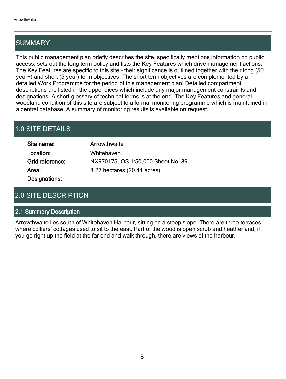## SUMMARY

This public management plan briefly describes the site, specifically mentions information on public access, sets out the long term policy and lists the Key Features which drive management actions. The Key Features are specific to this site - their significance is outlined together with their long (50 year+) and short (5 year) term objectives. The short term objectives are complemented by a detailed Work Programme for the period of this management plan. Detailed compartment descriptions are listed in the appendices which include any major management constraints and designations. A short glossary of technical terms is at the end. The Key Features and general woodland condition of this site are subject to a formal monitoring programme which is maintained in a central database. A summary of monitoring results is available on request.

## 1.0 SITE DETAILS

| Site name:      | Arrowthwaite                       |
|-----------------|------------------------------------|
| Location:       | Whitehaven                         |
| Grid reference: | NX970175, OS 1:50,000 Sheet No. 89 |
| Area:           | 8.27 hectares (20.44 acres)        |
| Designations:   |                                    |

## 2.0 SITE DESCRIPTION

## 2.1 Summary Description

Arrowthwaite lies south of Whitehaven Harbour, sitting on a steep slope. There are three terraces where colliers' cottages used to sit to the east. Part of the wood is open scrub and heather and, if you go right up the field at the far end and walk through, there are views of the harbour.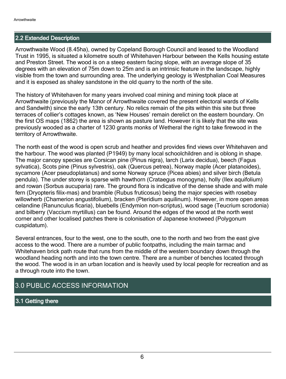## 2.2 Extended Description

Arrowthwaite Wood (8.45ha), owned by Copeland Borough Council and leased to the Woodland Trust in 1995, is situated a kilometre south of Whitehaven Harbour between the Kells housing estate and Preston Street. The wood is on a steep eastern facing slope, with an average slope of 35 degrees with an elevation of 75m down to 25m and is an intrinsic feature in the landscape, highly visible from the town and surrounding area. The underlying geology is Westphalian Coal Measures and it is exposed as shaley sandstone in the old quarry to the north of the site.

The history of Whitehaven for many years involved coal mining and mining took place at Arrowthwaite (previously the Manor of Arrowthwaite covered the present electoral wards of Kells and Sandwith) since the early 13th century. No relics remain of the pits within this site but three terraces of collier's cottages known, as 'New Houses' remain derelict on the eastern boundary. On the first OS maps (1862) the area is shown as pasture land. However it is likely that the site was previously wooded as a charter of 1230 grants monks of Wetheral the right to take firewood in the territory of Arrowthwaite.

The north east of the wood is open scrub and heather and provides find views over Whitehaven and the harbour. The wood was planted (P1949) by many local schoolchildren and is oblong in shape. The major canopy species are Corsican pine (Pinus nigra), larch (Larix decidua), beech (Fagus sylvatica), Scots pine (Pinus sylvestris), oak (Quercus petrea), Norway maple (Acer platanoides), sycamore (Acer pseudoplatanus) and some Norway spruce (Picea abies) and silver birch (Betula pendula). The under storey is sparse with hawthorn (Crataegus monogyna), holly (Ilex aquifolium) and rowan (Sorbus aucuparia) rare. The ground flora is indicative of the dense shade and with male fern (Dryopteris filix-mas) and bramble (Rubus fruticosus) being the major species with rosebay willowherb (Chamerion angustifolium), bracken (Pteridium aquilinum). However, in more open areas celandine (Ranunculus ficaria), bluebells (Endymion non-scriptus), wood sage (Teucrium scrodonia) and bilberry (Vaccium myrtillus) can be found. Around the edges of the wood at the north west corner and other localised patches there is colonisation of Japanese knotweed (Polygonum cuspidatum).

Several entrances, four to the west, one to the south, one to the north and two from the east give access to the wood. There are a number of public footpaths, including the main tarmac and Whitehaven brick path route that runs from the middle of the western boundary down through the woodland heading north and into the town centre. There are a number of benches located through the wood. The wood is in an urban location and is heavily used by local people for recreation and as a through route into the town.

## 3.0 PUBLIC ACCESS INFORMATION

## 3.1 Getting there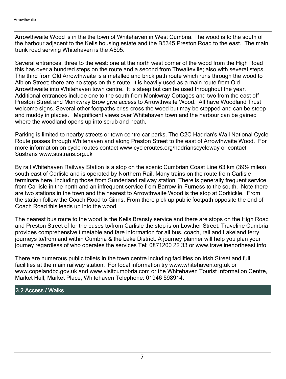Arrowthwaite Wood is in the the town of Whitehaven in West Cumbria. The wood is to the south of the harbour adjacent to the Kells housing estate and the B5345 Preston Road to the east. The main trunk road serving Whitehaven is the A595.

Several entrances, three to the west: one at the north west corner of the wood from the High Road this has over a hundred steps on the route and a second from Thwaiteville; also with several steps. The third from Old Arrowthwaite is a metalled and brick path route which runs through the wood to Albion Street; there are no steps on this route. It is heavily used as a main route from Old Arrowthwaite into Whitehaven town centre. It is steep but can be used throughout the year. Additional entrances include one to the south from Monkwray Cottages and two from the east off Preston Street and Monkwray Brow give access to Arrowthwaite Wood. All have Woodland Trust welcome signs. Several other footpaths criss-cross the wood but may be stepped and can be steep and muddy in places. Magnificent views over Whitehaven town and the harbour can be gained where the woodland opens up into scrub and heath.

Parking is limited to nearby streets or town centre car parks. The C2C Hadrian's Wall National Cycle Route passes through Whitehaven and along Preston Street to the east of Arrowthwaite Wood. For more information on cycle routes contact www.cycleroutes.org/hadrianscycleway or contact Sustrans www.sustrans.org.uk

By rail Whitehaven Railway Station is a stop on the scenic Cumbrian Coast Line 63 km (39<sup>1</sup>/<sub>2</sub> miles) south east of Carlisle and is operated by Northern Rail. Many trains on the route from Carlisle terminate here, including those from Sunderland railway station. There is generally frequent service from Carlisle in the north and an infrequent service from Barrow-in-Furness to the south. Note there are two stations in the town and the nearest to Arrowthwaite Wood is the stop at Corkickle. From the station follow the Coach Road to Ginns. From there pick up public footpath opposite the end of Coach Road this leads up into the wood.

The nearest bus route to the wood is the Kells Bransty service and there are stops on the High Road and Preston Street of for the buses to/from Carlisle the stop is on Lowther Street. Traveline Cumbria provides comprehensive timetable and fare information for all bus, coach, rail and Lakeland ferry journeys to/from and within Cumbria & the Lake District. A journey planner will help you plan your journey regardless of who operates the services Tel: 0871200 22 33 or www.travelinenortheast.info

There are numerous public toilets in the town centre including facilities on Irish Street and full facilities at the main railway station. For local information try www.whitehaven.org.uk or www.copelandbc.gov.uk and www.visitcumbbria.com or the Whitehaven Tourist Information Centre, Market Hall, Market Place, Whitehaven Telephone: 01946 598914.

## 3.2 Access / Walks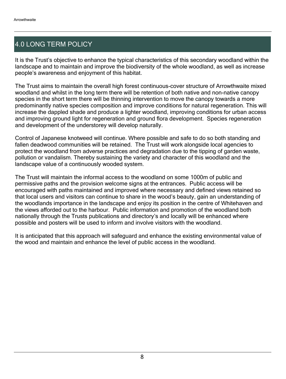## 4.0 LONG TERM POLICY

It is the Trust's objective to enhance the typical characteristics of this secondary woodland within the landscape and to maintain and improve the biodiversity of the whole woodland, as well as increase people's awareness and enjoyment of this habitat.

The Trust aims to maintain the overall high forest continuous-cover structure of Arrowthwaite mixed woodland and whilst in the long term there will be retention of both native and non-native canopy species in the short term there will be thinning intervention to move the canopy towards a more predominantly native species composition and improve conditions for natural regeneration. This will increase the dappled shade and produce a lighter woodland, improving conditions for urban access and improving ground light for regeneration and ground flora development. Species regeneration and development of the understorey will develop naturally.

Control of Japanese knotweed will continue. Where possible and safe to do so both standing and fallen deadwood communities will be retained. The Trust will work alongside local agencies to protect the woodland from adverse practices and degradation due to the tipping of garden waste, pollution or vandalism. Thereby sustaining the variety and character of this woodland and the landscape value of a continuously wooded system.

The Trust will maintain the informal access to the woodland on some 1000m of public and permissive paths and the provision welcome signs at the entrances. Public access will be encouraged with paths maintained and improved where necessary and defined views retained so that local users and visitors can continue to share in the wood's beauty, gain an understanding of the woodlands importance in the landscape and enjoy its position in the centre of Whitehaven and the views afforded out to the harbour. Public information and promotion of the woodland both nationally through the Trusts publications and directory's and locally will be enhanced where possible and posters will be used to inform and involve visitors with the woodland.

It is anticipated that this approach will safeguard and enhance the existing environmental value of the wood and maintain and enhance the level of public access in the woodland.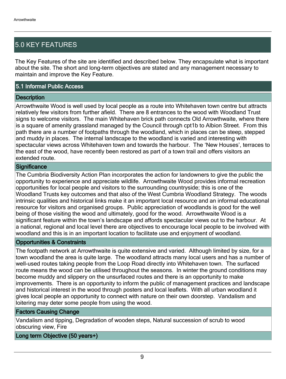## 5.0 KEY FEATURES

The Key Features of the site are identified and described below. They encapsulate what is important about the site. The short and long-term objectives are stated and any management necessary to maintain and improve the Key Feature.

## 5.1 Informal Public Access

## **Description**

Arrowthwaite Wood is well used by local people as a route into Whitehaven town centre but attracts relatively few visitors from further afield. There are 8 entrances to the wood with Woodland Trust signs to welcome visitors. The main Whitehaven brick path connects Old Arrowthwaite, where there is a square of amenity grassland managed by the Council through cpt1b to Albion Street. From this path there are a number of footpaths through the woodland, which in places can be steep, stepped and muddy in places. The internal landscape to the woodland is varied and interesting with spectacular views across Whitehaven town and towards the harbour. The 'New Houses', terraces to the east of the wood, have recently been restored as part of a town trail and offers visitors an extended route.

## **Significance**

The Cumbria Biodiversity Action Plan incorporates the action for landowners to give the public the opportunity to experience and appreciate wildlife. Arrowthwaite Wood provides informal recreation opportunities for local people and visitors to the surrounding countryside; this is one of the Woodland Trusts key outcomes and that also of the West Cumbria Woodland Strategy. The woods intrinsic qualities and historical links make it an important local resource and an informal educational resource for visitors and organised groups. Public appreciation of woodlands is good for the well being of those visiting the wood and ultimately, good for the wood. Arrowthwaite Wood is a significant feature within the town's landscape and affords spectacular views out to the harbour. At a national, regional and local level there are objectives to encourage local people to be involved with woodland and this is in an important location to facilitate use and enjoyment of woodland.

## Opportunities & Constraints

The footpath network at Arrowthwaite is quite extensive and varied. Although limited by size, for a town woodland the area is quite large. The woodland attracts many local users and has a number of well-used routes taking people from the Loop Road directly into Whitehaven town. The surfaced route means the wood can be utilised throughout the seasons. In winter the ground conditions may become muddy and slippery on the unsurfaced routes and there is an opportunity to make improvements. There is an opportunity to inform the public of management practices and landscape and historical interest in the wood through posters and local leaflets. With all urban woodland it gives local people an opportunity to connect with nature on their own doorstep. Vandalism and loitering may deter some people from using the wood.

## Factors Causing Change

Vandalism and tipping, Degradation of wooden steps, Natural succession of scrub to wood obscuring view, Fire

## Long term Objective (50 years+)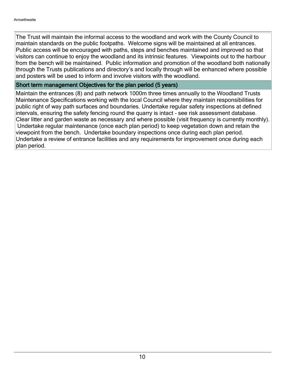The Trust will maintain the informal access to the woodland and work with the County Council to maintain standards on the public footpaths. Welcome signs will be maintained at all entrances. Public access will be encouraged with paths, steps and benches maintained and improved so that visitors can continue to enjoy the woodland and its intrinsic features. Viewpoints out to the harbour from the bench will be maintained. Public information and promotion of the woodland both nationally through the Trusts publications and directory's and locally through will be enhanced where possible and posters will be used to inform and involve visitors with the woodland.

#### Short term management Objectives for the plan period (5 years)

Maintain the entrances (8) and path network 1000m three times annually to the Woodland Trusts Maintenance Specifications working with the local Council where they maintain responsibilities for public right of way path surfaces and boundaries. Undertake regular safety inspections at defined intervals, ensuring the safety fencing round the quarry is intact - see risk assessment database. Clear litter and garden waste as necessary and where possible (visit frequency is currently monthly). Undertake regular maintenance (once each plan period) to keep vegetation down and retain the viewpoint from the bench. Undertake boundary inspections once during each plan period. Undertake a review of entrance facilities and any requirements for improvement once during each plan period.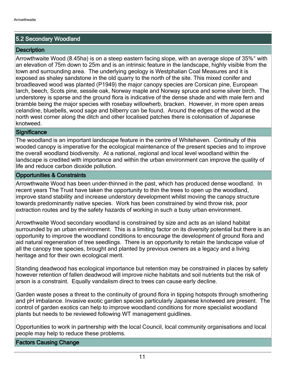## 5.2 Secondary Woodland

## **Description**

Arrowthwaite Wood (8.45ha) is on a steep eastern facing slope, with an average slope of 35%° with an elevation of 75m down to 25m and is an intrinsic feature in the landscape, highly visible from the town and surrounding area. The underlying geology is Westphalian Coal Measures and it is exposed as shaley sandstone in the old quarry to the north of the site. This mixed conifer and broadleaved wood was planted (P1949) the major canopy species are Corsican pine, European larch, beech, Scots pine, sessile oak, Norway maple and Norway spruce and some silver birch. The understorey is sparse and the ground flora is indicative of the dense shade and with male fern and bramble being the major species with rosebay willowherb, bracken. However, in more open areas celandine, bluebells, wood sage and bilberry can be found. Around the edges of the wood at the north west corner along the ditch and other localised patches there is colonisation of Japanese knotweed.

## **Significance**

The woodland is an important landscape feature in the centre of Whitehaven. Continuity of this wooded canopy is imperative for the ecological maintenance of the present species and to improve the overall woodland biodiversity. At a national, regional and local level woodland within the landscape is credited with importance and within the urban environment can improve the quality of life and reduce carbon dioxide pollution.

## Opportunities & Constraints

Arrowthwaite Wood has been under-thinned in the past, which has produced dense woodland. In recent years The Trust have taken the opportunity to thin the trees to open up the woodland, improve stand stability and increase understory development whilst moving the canopy structure towards predominantly native species. Work has been constrained by wind throw risk, poor extraction routes and by the safety hazards of working in such a busy urban environment.

Arrowthwaite Wood secondary woodland is constrained by size and acts as an island habitat surrounded by an urban environment. This is a limiting factor on its diversity potential but there is an opportunity to improve the woodland conditions to encourage the development of ground flora and aid natural regeneration of tree seedlings. There is an opportunity to retain the landscape value of all the canopy tree species, brought and planted by previous owners as a legacy and a living heritage and for their own ecological merit.

Standing deadwood has ecological importance but retention may be constrained in places by safety however retention of fallen deadwood will improve niche habitats and soil nutrients but the risk of arson is a constraint. Equally vandalism direct to trees can cause early decline.

Garden waste poses a threat to the continuity of ground flora in tipping hotspots through smothering and pH imbalance. Invasive exotic garden species particularly Japanese knotweed are present. The control of garden exotics can help to improve woodland conditions for more specialist woodland plants but needs to be reviewed following WT management guidlines.

Opportunities to work in partnership with the local Council, local community organisations and local people may help to reduce these problems.

## Factors Causing Change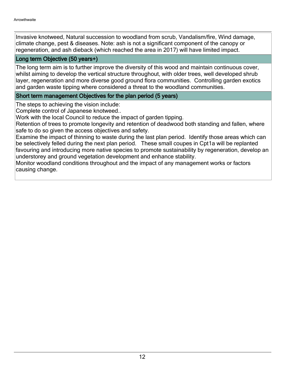Invasive knotweed, Natural succession to woodland from scrub, Vandalism/fire, Wind damage, climate change, pest & diseases. Note: ash is not a significant component of the canopy or regeneration, and ash dieback (which reached the area in 2017) will have limited impact.

## Long term Objective (50 years+)

The long term aim is to further improve the diversity of this wood and maintain continuous cover, whilst aiming to develop the vertical structure throughout, with older trees, well developed shrub layer, regeneration and more diverse good ground flora communities. Controlling garden exotics and garden waste tipping where considered a threat to the woodland communities.

## Short term management Objectives for the plan period (5 years)

The steps to achieving the vision include:

Complete control of Japanese knotweed..

Work with the local Council to reduce the impact of garden tipping.

Retention of trees to promote longevity and retention of deadwood both standing and fallen, where safe to do so given the access objectives and safety.

Examine the impact of thinning to waste during the last plan period. Identify those areas which can be selectively felled during the next plan period. These small coupes in Cpt1a will be replanted favouring and introducing more native species to promote sustainability by regeneration, develop an understorey and ground vegetation development and enhance stability.

Monitor woodland conditions throughout and the impact of any management works or factors causing change.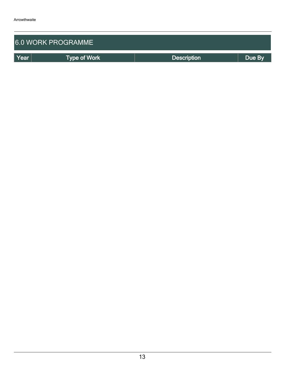| <b>6.0 WORK PROGRAMME</b> |                     |                    |        |  |  |  |
|---------------------------|---------------------|--------------------|--------|--|--|--|
| Year                      | <b>Type of Work</b> | <b>Description</b> | Due By |  |  |  |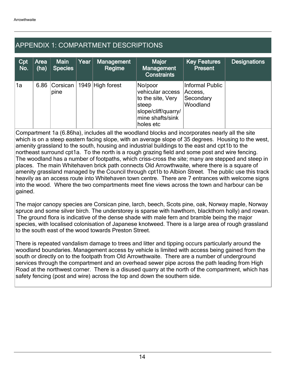## APPENDIX 1: COMPARTMENT DESCRIPTIONS

| Cpt<br>No. | Area<br>(ha) | <b>Main</b><br>Species | Year | <b>Management</b><br>Regime | Major<br>Management<br><b>Constraints</b>                                                                         | <b>Key Features</b><br><b>Present</b>               | <b>Designations</b> |
|------------|--------------|------------------------|------|-----------------------------|-------------------------------------------------------------------------------------------------------------------|-----------------------------------------------------|---------------------|
| 1a         | 6.86         | pine                   |      | Corsican   1949 High forest | No/poor<br>vehicular access<br>to the site, Very<br>steep<br>slope/cliff/quarry/<br>mine shafts/sink<br>holes etc | Informal Public<br>Access,<br>Secondary<br>Woodland |                     |

Compartment 1a (6.86ha), includes all the woodland blocks and incorporates nearly all the site which is on a steep eastern facing slope, with an average slope of 35 degrees. Housing to the west, amenity grassland to the south, housing and industrial buildings to the east and cpt1b to the northeast surround cpt1a. To the north is a rough grazing field and some post and wire fencing. The woodland has a number of footpaths, which criss-cross the site; many are stepped and steep in places. The main Whitehaven brick path connects Old Arrowthwaite, where there is a square of amenity grassland managed by the Council through cpt1b to Albion Street. The public use this track heavily as an access route into Whitehaven town centre. There are 7 entrances with welcome signs into the wood. Where the two compartments meet fine views across the town and harbour can be gained.

The major canopy species are Corsican pine, larch, beech, Scots pine, oak, Norway maple, Norway spruce and some silver birch. The understorey is sparse with hawthorn, blackthorn holly) and rowan. The ground flora is indicative of the dense shade with male fern and bramble being the major species, with localised colonisation of Japanese knotweed. There is a large area of rough grassland to the south east of the wood towards Preston Street.

There is repeated vandalism damage to trees and litter and tipping occurs particularly around the woodland boundaries. Management access by vehicle is limited with access being gained from the south or directly on to the footpath from Old Arrowthwaite. There are a number of underground services through the compartment and an overhead sewer pipe across the path leading from High Road at the northwest corner. There is a disused quarry at the north of the compartment, which has safety fencing (post and wire) across the top and down the southern side.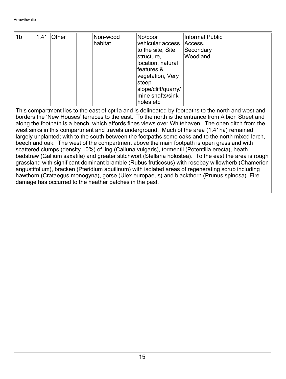| 1 <sub>b</sub> | 1.41 | <b>Other</b> | Non-wood<br>habitat | No/poor<br>vehicular access<br>to the site, Site<br>structure,<br>location, natural<br>features &<br>vegetation, Very<br>steep<br>slope/cliff/quarry/<br>mine shafts/sink | Informal Public<br>Access,<br>Secondary<br>Woodland |  |
|----------------|------|--------------|---------------------|---------------------------------------------------------------------------------------------------------------------------------------------------------------------------|-----------------------------------------------------|--|
|                |      |              |                     | holes etc                                                                                                                                                                 |                                                     |  |

This compartment lies to the east of cpt1a and is delineated by footpaths to the north and west and borders the 'New Houses' terraces to the east. To the north is the entrance from Albion Street and along the footpath is a bench, which affords fines views over Whitehaven. The open ditch from the west sinks in this compartment and travels underground. Much of the area (1.41ha) remained largely unplanted; with to the south between the footpaths some oaks and to the north mixed larch, beech and oak. The west of the compartment above the main footpath is open grassland with scattered clumps (density 10%) of ling (Calluna vulgaris), tormentil (Potentilla erecta), heath bedstraw (Gallium saxatile) and greater stitchwort (Stellaria holostea). To the east the area is rough grassland with significant dominant bramble (Rubus fruticosus) with rosebay willowherb (Chamerion angustifolium), bracken (Pteridium aquilinum) with isolated areas of regenerating scrub including hawthorn (Crataegus monogyna), gorse (Ulex europaeus) and blackthorn (Prunus spinosa). Fire damage has occurred to the heather patches in the past.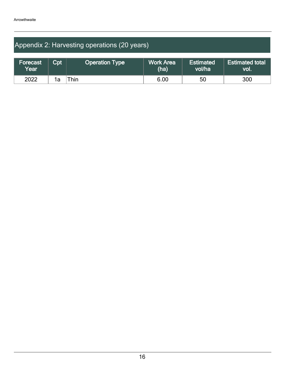## Appendix 2: Harvesting operations (20 years)

| Forecast<br>Year | $\mathsf{Cpt}$ | <b>Operation Type</b> | <b>Work Area</b><br>(ha) | <b>Estimated</b><br>vol/ha | <b>Estimated total</b><br>VOI. |
|------------------|----------------|-----------------------|--------------------------|----------------------------|--------------------------------|
| 2022             | 1a             | Thin.                 | 6.00                     | 50                         | 300                            |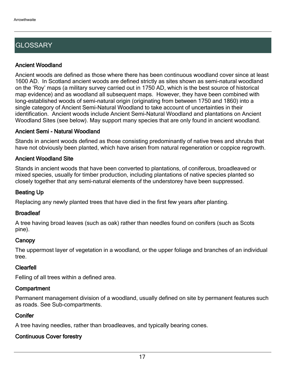## **GLOSSARY**

## Ancient Woodland

Ancient woods are defined as those where there has been continuous woodland cover since at least 1600 AD. In Scotland ancient woods are defined strictly as sites shown as semi-natural woodland on the 'Roy' maps (a military survey carried out in 1750 AD, which is the best source of historical map evidence) and as woodland all subsequent maps. However, they have been combined with long-established woods of semi-natural origin (originating from between 1750 and 1860) into a single category of Ancient Semi-Natural Woodland to take account of uncertainties in their identification. Ancient woods include Ancient Semi-Natural Woodland and plantations on Ancient Woodland Sites (see below). May support many species that are only found in ancient woodland.

## Ancient Semi - Natural Woodland

Stands in ancient woods defined as those consisting predominantly of native trees and shrubs that have not obviously been planted, which have arisen from natural regeneration or coppice regrowth.

## Ancient Woodland Site

Stands in ancient woods that have been converted to plantations, of coniferous, broadleaved or mixed species, usually for timber production, including plantations of native species planted so closely together that any semi-natural elements of the understorey have been suppressed.

## Beating Up

Replacing any newly planted trees that have died in the first few years after planting.

## **Broadleaf**

A tree having broad leaves (such as oak) rather than needles found on conifers (such as Scots pine).

## **Canopy**

The uppermost layer of vegetation in a woodland, or the upper foliage and branches of an individual tree.

## Clearfell

Felling of all trees within a defined area.

## **Compartment**

Permanent management division of a woodland, usually defined on site by permanent features such as roads. See Sub-compartments.

## **Conifer**

A tree having needles, rather than broadleaves, and typically bearing cones.

## Continuous Cover forestry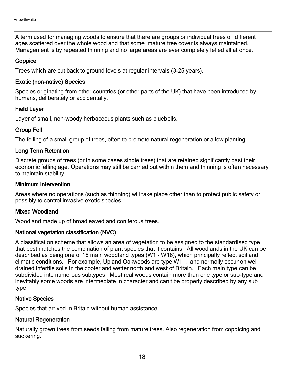A term used for managing woods to ensure that there are groups or individual trees of different ages scattered over the whole wood and that some mature tree cover is always maintained. Management is by repeated thinning and no large areas are ever completely felled all at once.

## **Coppice**

Trees which are cut back to ground levels at regular intervals (3-25 years).

## Exotic (non-native) Species

Species originating from other countries (or other parts of the UK) that have been introduced by humans, deliberately or accidentally.

## Field Layer

Layer of small, non-woody herbaceous plants such as bluebells.

## Group Fell

The felling of a small group of trees, often to promote natural regeneration or allow planting.

## Long Term Retention

Discrete groups of trees (or in some cases single trees) that are retained significantly past their economic felling age. Operations may still be carried out within them and thinning is often necessary to maintain stability.

## Minimum Intervention

Areas where no operations (such as thinning) will take place other than to protect public safety or possibly to control invasive exotic species.

## Mixed Woodland

Woodland made up of broadleaved and coniferous trees.

## National vegetation classification (NVC)

A classification scheme that allows an area of vegetation to be assigned to the standardised type that best matches the combination of plant species that it contains. All woodlands in the UK can be described as being one of 18 main woodland types (W1 - W18), which principally reflect soil and climatic conditions. For example, Upland Oakwoods are type W11, and normally occur on well drained infertile soils in the cooler and wetter north and west of Britain. Each main type can be subdivided into numerous subtypes. Most real woods contain more than one type or sub-type and inevitably some woods are intermediate in character and can't be properly described by any sub type.

## Native Species

Species that arrived in Britain without human assistance.

## Natural Regeneration

Naturally grown trees from seeds falling from mature trees. Also regeneration from coppicing and suckering.